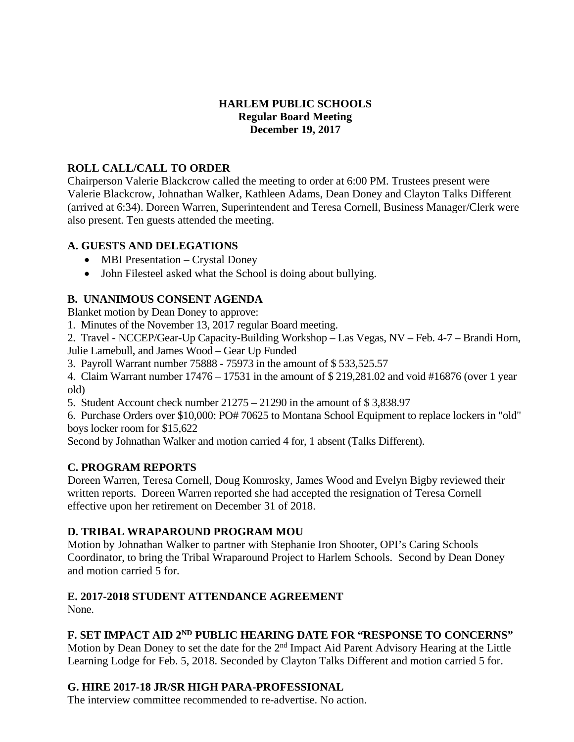## **HARLEM PUBLIC SCHOOLS Regular Board Meeting December 19, 2017**

## **ROLL CALL/CALL TO ORDER**

Chairperson Valerie Blackcrow called the meeting to order at 6:00 PM. Trustees present were Valerie Blackcrow, Johnathan Walker, Kathleen Adams, Dean Doney and Clayton Talks Different (arrived at 6:34). Doreen Warren, Superintendent and Teresa Cornell, Business Manager/Clerk were also present. Ten guests attended the meeting.

## **A. GUESTS AND DELEGATIONS**

- MBI Presentation Crystal Doney
- John Filesteel asked what the School is doing about bullying.

## **B. UNANIMOUS CONSENT AGENDA**

Blanket motion by Dean Doney to approve:

1. Minutes of the November 13, 2017 regular Board meeting.

2. Travel - NCCEP/Gear-Up Capacity-Building Workshop – Las Vegas, NV – Feb. 4-7 – Brandi Horn,

Julie Lamebull, and James Wood – Gear Up Funded

3. Payroll Warrant number 75888 - 75973 in the amount of \$ 533,525.57

4. Claim Warrant number 17476 – 17531 in the amount of \$ 219,281.02 and void #16876 (over 1 year old)

5. Student Account check number 21275 – 21290 in the amount of \$ 3,838.97

6. Purchase Orders over \$10,000: PO# 70625 to Montana School Equipment to replace lockers in "old" boys locker room for \$15,622

Second by Johnathan Walker and motion carried 4 for, 1 absent (Talks Different).

## **C. PROGRAM REPORTS**

Doreen Warren, Teresa Cornell, Doug Komrosky, James Wood and Evelyn Bigby reviewed their written reports. Doreen Warren reported she had accepted the resignation of Teresa Cornell effective upon her retirement on December 31 of 2018.

## **D. TRIBAL WRAPAROUND PROGRAM MOU**

Motion by Johnathan Walker to partner with Stephanie Iron Shooter, OPI's Caring Schools Coordinator, to bring the Tribal Wraparound Project to Harlem Schools. Second by Dean Doney and motion carried 5 for.

## **E. 2017-2018 STUDENT ATTENDANCE AGREEMENT**

None.

# **F. SET IMPACT AID 2ND PUBLIC HEARING DATE FOR "RESPONSE TO CONCERNS"**

Motion by Dean Doney to set the date for the 2<sup>nd</sup> Impact Aid Parent Advisory Hearing at the Little Learning Lodge for Feb. 5, 2018. Seconded by Clayton Talks Different and motion carried 5 for.

### **G. HIRE 2017-18 JR/SR HIGH PARA-PROFESSIONAL**

The interview committee recommended to re-advertise. No action.